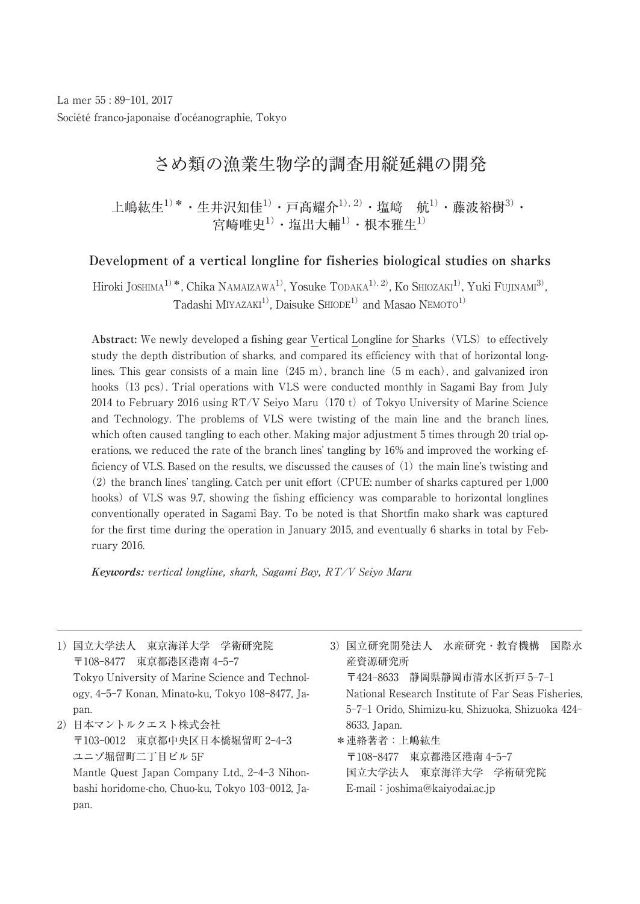La mer 55 : 89-101, 2017 Société franco-japonaise d'océanographie, Tokyo

# さめ類の漁業生物学的調査用縦延縄の開発

上嶋紘生 $^{1)}$  \* · 生井沢知佳 $^{1)}$  · 戸髙耀介 $^{1)}$  · 塩﨑  $\;$  航 $^{1)}$  · 藤波裕樹 $^{3)}$  · 宮崎唯史1)・塩出大輔1)・根本雅生1)

## **Development of a vertical longline for fisheries biological studies on sharks**

Hiroki JOSHIMA<sup>1)</sup>\*, Chika NAMAIZAWA<sup>1)</sup>, Yosuke TODAKA<sup>1), 2)</sup>, Ko SHIOZAKI<sup>1)</sup>, Yuki FUJINAMI<sup>3)</sup> , Tadashi MIYAZAKI<sup>1</sup>, Daisuke SHIODE<sup>1)</sup> and Masao NEMOTO<sup>1)</sup>

Abstract: We newly developed a fishing gear Vertical Longline for Sharks (VLS) to effectively study the depth distribution of sharks, and compared its efficiency with that of horizontal longlines. This gear consists of a main line  $(245 \text{ m})$ , branch line (5 m each), and galvanized iron hooks (13 pcs). Trial operations with VLS were conducted monthly in Sagami Bay from July 2014 to February 2016 using  $RT/V$  Seiyo Maru (170 t) of Tokyo University of Marine Science and Technology. The problems of VLS were twisting of the main line and the branch lines, which often caused tangling to each other. Making major adjustment 5 times through 20 trial operations, we reduced the rate of the branch lines' tangling by 16% and improved the working ef-<br>ficiency of VLS. Based on the results, we discussed the causes of (1) the main line's twisting and<br>(2) the branch lines' tan ficiency of VLS. Based on the results, we discussed the causes of (1) the main line's twisting and<br>
(2) the branch lines' tangling. Catch per unit effort (CPUE: number of sharks captured per 1,000<br>
conventionally operate (2) the branch lines' tangling. Catch per unit effort (CPUE: number of sharks captured per 1,000<br>
conventionally operated in Sagami Bay. To be noted is that Shortfin mako shark was captured<br>
for the first time during the hooks) of VLS was 9.7, showing the fishing efficiency was comparable to horizontal longlines conventionally operated in Sagami Bay. To be noted is that Shortfin mako shark was captured for the first time during the operation in January 2015, and eventually 6 sharks in total by February 2016.

**Keywords:** vertical longline, shark, Sagami Bay, RT/V Seiyo Maru

1)国立大学法人 東京海洋大学 学術研究院 〒108-8477 東京都港区港南 4-5-7 Tokyo University of Marine Science and Technology, 4-5-7 Konan, Minato-ku, Tokyo 108-8477, Japan. 2)日本マントルクエスト株式会社

〒103-0012 東京都中央区日本橋堀留町 2-4-3 ユニゾ堀留町二丁目ビル 5F Mantle Quest Japan Company Ltd., 2-4-3 Nihon-

\*連絡著者:上嶋紘生

bashi horidome-cho, Chuo-ku, Tokyo 103-0012, Japan.

3)国立研究開発法人 水産研究・教育機構 国際水 産資源研究所

〒424-8633 静岡県静岡市清水区折戸 5-7-1 National Research Institute of Far Seas Fisheries, 5-7-1 Orido, Shimizu-ku, Shizuoka, Shizuoka 424− 8633, Japan.

〒108-8477 東京都港区港南 4-5-7 国立大学法人 東京海洋大学 学術研究院 E-mail:joshima@kaiyodai.ac.jp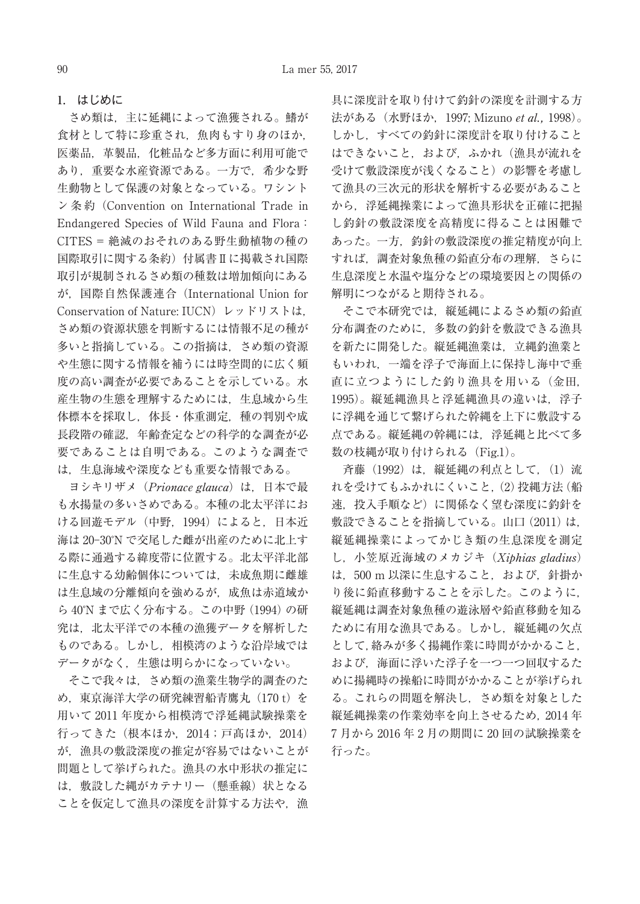## **1.** はじめに

さめ類は,主に延縄によって漁獲される。鰭が 食材として特に珍重され,魚肉もすり身のほか, 医薬品,革製品,化粧品など多方面に利用可能で あり,重要な水産資源である。一方で,希少な野 生動物として保護の対象となっている。ワシント ン 条 約(Convention on International Trade in Endangered Species of Wild Fauna and Flora: CITES = 絶滅のおそれのある野生動植物の種の 国際取引に関する条約)付属書Ⅱに掲載され国際 取引が規制されるさめ類の種数は増加傾向にある が,国際自然保護連合(International Union for Conservation of Nature: IUCN)レッドリストは, さめ類の資源状態を判断するには情報不足の種が 多いと指摘している。この指摘は,さめ類の資源 や生態に関する情報を補うには時空間的に広く頻 度の高い調査が必要であることを示している。水 産生物の生態を理解するためには,生息域から生 体標本を採取し,体長・体重測定,種の判別や成 長段階の確認,年齢査定などの科学的な調査が必 要であることは自明である。このような調査で は,生息海域や深度なども重要な情報である。

ヨシキリザメ (Prionace glauca) は、日本で最 も水揚量の多いさめである。本種の北太平洋にお ける回遊モデル(中野,1994)によると,日本近 海は 20-30°N で交尾した雌が出産のために北上す る際に通過する緯度帯に位置する。北太平洋北部 に生息する幼齢個体については,未成魚期に雌雄 は生息域の分離傾向を強めるが,成魚は赤道域か ら 40°N まで広く分布する。この中野 (1994) の研 究は、北太平洋での本種の漁獲データを解析した ものである。しかし,相模湾のような沿岸域では データがなく,生態は明らかになっていない。

そこで我々は,さめ類の漁業生物学的調査のた め、東京海洋大学の研究練習船青鷹丸 (170 t) を 用いて 2011 年度から相模湾で浮延縄試験操業を 行ってきた(根本ほか,2014;戸髙ほか,2014) が,漁具の敷設深度の推定が容易ではないことが 問題として挙げられた。漁具の水中形状の推定に は、敷設した縄がカテナリー(懸垂線)状となる ことを仮定して漁具の深度を計算する方法や. 漁

具に深度計を取り付けて釣針の深度を計測する方 法がある(水野ほか,1997; Mizuno et al., 1998)。 しかし,すべての釣針に深度計を取り付けること はできないこと,および,ふかれ(漁具が流れを 受けて敷設深度が浅くなること)の影響を考慮し て漁具の三次元的形状を解析する必要があること から,浮延縄操業によって漁具形状を正確に把握 し釣針の敷設深度を高精度に得ることは困難で あった。一方,釣針の敷設深度の推定精度が向上 すれば,調査対象魚種の鉛直分布の理解,さらに 生息深度と水温や塩分などの環境要因との関係の 解明につながると期待される。

そこで本研究では,縦延縄によるさめ類の鉛直 分布調査のために,多数の釣針を敷設できる漁具 を新たに開発した。縦延縄漁業は,立縄釣漁業と もいわれ,一端を浮子で海面上に保持し海中で垂 直に立つようにした釣り漁具を用いる(金田, 1995)。縦延縄漁具と浮延縄漁具の違いは,浮子 に浮縄を通じて繋げられた幹縄を上下に敷設する 点である。縦延縄の幹縄には,浮延縄と比べて多 数の枝縄が取り付けられる (Fig.1)。

斉藤(1992)は,縦延縄の利点として,(1)流 れを受けてもふかれにくいこと,(2)投縄方法(船 速,投入手順など)に関係なく望む深度に釣針を 敷設できることを指摘している。山口(2011)は, 縦延縄操業によってかじき類の生息深度を測定 し、小笠原近海域のメカジキ (Xiphias gladius) は,500 m 以深に生息すること,および,針掛か り後に鉛直移動することを示した。このように, 縦延縄は調査対象魚種の遊泳層や鉛直移動を知る ために有用な漁具である。しかし,縦延縄の欠点 として,絡みが多く揚縄作業に時間がかかること, および,海面に浮いた浮子を一つ一つ回収するた めに揚縄時の操船に時間がかかることが挙げられ る。これらの問題を解決し,さめ類を対象とした 縦延縄操業の作業効率を向上させるため、2014年 7 月から 2016 年 2 月の期間に 20 回の試験操業を 行った。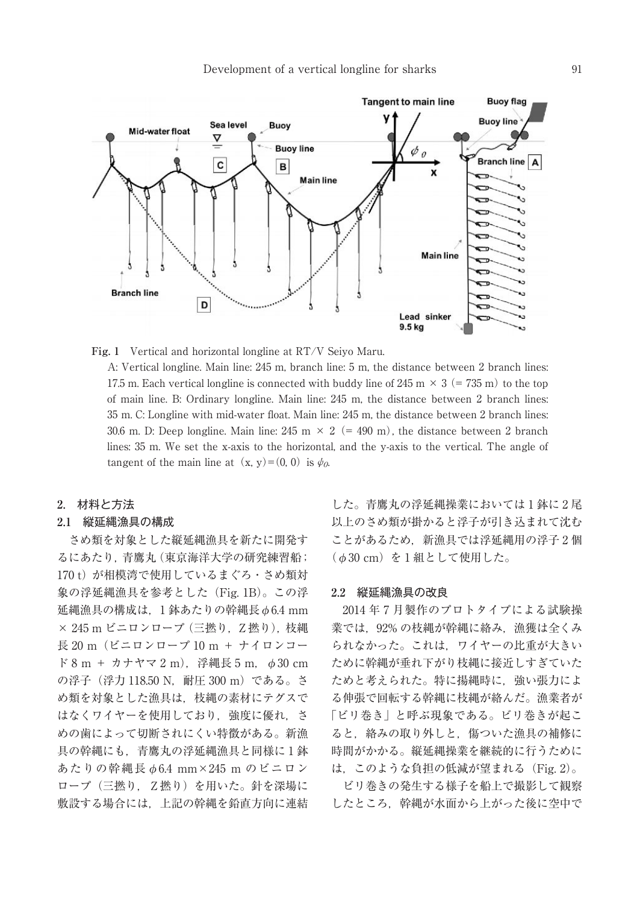

**Fig. 1** Vertical and horizontal longline at RT/V Seiyo Maru.

A: Vertical longline. Main line: 245 m, branch line: 5 m, the distance between 2 branch lines: 17.5 m. Each vertical longline is connected with buddy line of 245 m  $\times$  3 (= 735 m) to the top of main line. B: Ordinary longline. Main line: 245 m, the distance between 2 branch lines: 35 m. C: Longline with mid-water float. Main line: 245 m, the distance between 2 branch lines: 30.6 m. D: Deep longline. Main line:  $245 \text{ m} \times 2 (=490 \text{ m})$ , the distance between 2 branch lines: 35 m. We set the x-axis to the horizontal, and the y-axis to the vertical. The angle of tangent of the main line at  $(x, y)=(0, 0)$  is  $\psi_0$ .

## **2.** 材料と方法

## **2.1** 縦延縄漁具の構成

さめ類を対象とした縦延縄漁具を新たに開発す るにあたり,青鷹丸(東京海洋大学の研究練習船; 170 t)が相模湾で使用しているまぐろ·さめ類対 象の浮延縄漁具を参考とした(Fig. 1B)。この浮 延縄漁具の構成は,1 鉢あたりの幹縄長φ6.4 mm × 245 m ビニロンロープ (三撚り, Z 撚り), 枝縄 長 20 m(ビニロンロープ 10 m + ナイロンコー  $F 8 m + \hbar + \nabla \cdot 2 m$ , 浮縄長 5 m,  $\phi 30$  cm の浮子(浮力 118.50 N, 耐圧 300 m)である。さ め類を対象とした漁具は,枝縄の素材にテグスで はなくワイヤーを使用しており、強度に優れ、さ めの歯によって切断されにくい特徴がある。新漁 具の幹縄にも,青鷹丸の浮延縄漁具と同様に 1 鉢 あたりの幹縄長φ6.4 mm×245 m のビニロン ロープ(三撚り, Z撚り)を用いた。針を深場に 敷設する場合には,上記の幹縄を鉛直方向に連結

した。青鷹丸の浮延縄操業においては 1 鉢に 2 尾 以上のさめ類が掛かると浮子が引き込まれて沈む ことがあるため,新漁具では浮延縄用の浮子 2 個  $($   $\phi$  30 cm) を 1 組として使用した。

#### **2.2** 縦延縄漁具の改良

2014 年 7 月製作のプロトタイプによる試験操 業では、92% の枝縄が幹縄に絡み、漁獲は全くみ られなかった。これは,ワイヤーの比重が大きい ために幹縄が垂れ下がり枝縄に接近しすぎていた ためと考えられた。特に揚縄時に,強い張力によ る伸張で回転する幹縄に枝縄が絡んだ。漁業者が 「ビリ巻き」と呼ぶ現象である。ビリ巻きが起こ ると,絡みの取り外しと,傷ついた漁具の補修に 時間がかかる。縦延縄操業を継続的に行うために は,このような負担の低減が望まれる(Fig. 2)。

ビリ巻きの発生する様子を船上で撮影して観察 したところ、幹縄が水面から上がった後に空中で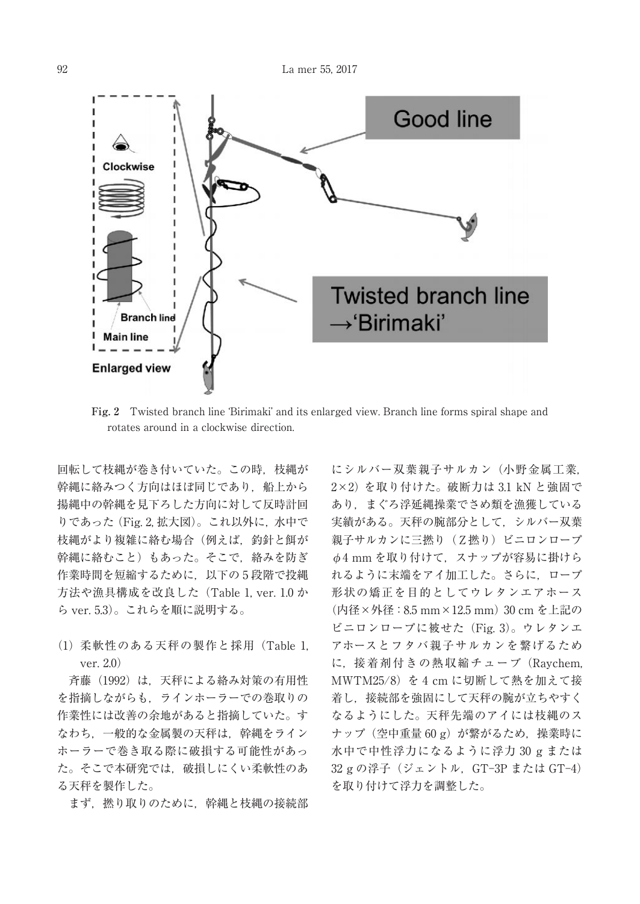

rotates around in a clockwise direction.

回転して枝縄が巻き付いていた。この時,枝縄が 幹縄に絡みつく方向はほぼ同じであり、船上から 揚縄中の幹縄を見下ろした方向に対して反時計回 りであった(Fig. 2, 拡大図)。これ以外に,水中で 枝縄がより複雑に絡む場合(例えば,釣針と餌が 幹縄に絡むこと)もあった。そこで,絡みを防ぎ 作業時間を短縮するために,以下の 5 段階で投縄 方法や漁具構成を改良した(Table 1, ver. 1.0 か ら ver. 5.3)。これらを順に説明する。

(1) 柔軟性のある天秤の製作と採用(Table 1, ver. 2.0)

斉藤(1992)は,天秤による絡み対策の有用性 を指摘しながらも,ラインホーラーでの巻取りの 作業性には改善の余地があると指摘していた。す なわち、一般的な金属製の天秤は、幹縄をライン ホーラーで巻き取る際に破損する可能性があっ た。そこで本研究では,破損しにくい柔軟性のあ る天秤を製作した。

まず、撚り取りのために、幹縄と枝縄の接続部

にシルバー双葉親子サルカン(小野金属工業, 2×2) を取り付けた。破断力は 3.1 kN と強固で あり,まぐろ浮延縄操業でさめ類を漁獲している 実績がある。天秤の腕部分として,シルバー双葉 親子サルカンに三撚り (Z撚り) ビニロンロープ φ4 mm を取り付けて,スナップが容易に掛けら れるように末端をアイ加工した。さらに,ロープ 形状の矯正を目的としてウレタンエアホース (内径×外径:8.5 mm×12.5 mm)30 cm を上記の ビニロンロープに被せた(Fig. 3)。ウレタンエ アホースとフタバ親子サルカンを繋げるため に,接着剤付きの熱収縮チューブ(Raychem, MWTM25/8)を 4 cm に切断して熱を加えて接 着し,接続部を強固にして天秤の腕が立ちやすく なるようにした。天秤先端のアイには枝縄のス ナップ (空中重量 60 g) が繋がるため、操業時に 水中で中性浮力になるように浮力 30 g または 32 g の浮子 (ジェントル, GT-3P または GT-4) を取り付けて浮力を調整した。 Fig. 2 Twisted branch line 'Birimaki' and its enlarged view. Branch line forms spiral shape and<br>
rotates around in a clockwise direction.<br> **Fig.2** Twisted branch line in the forms spiral shape and<br>
reconding tag respecti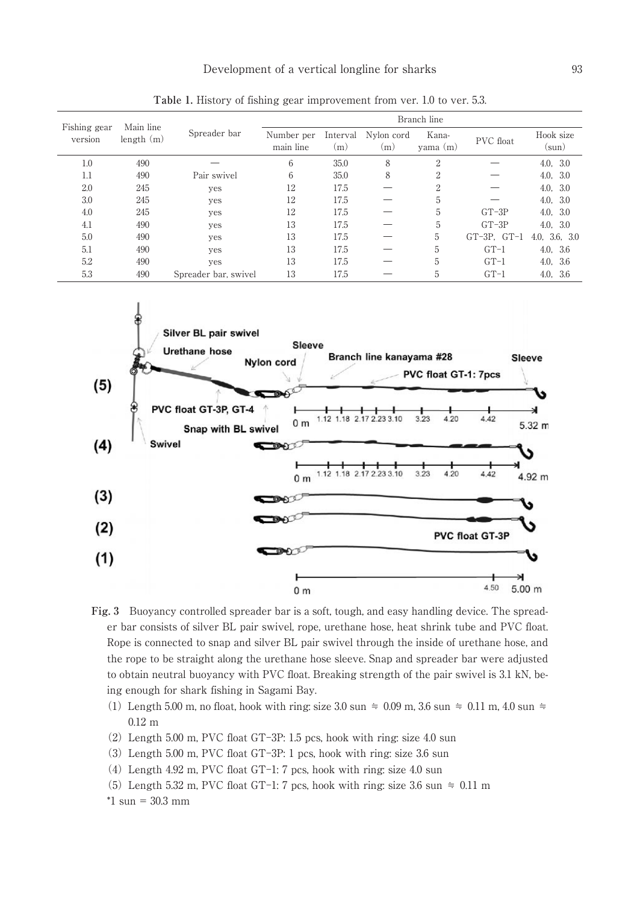| Fishing gear<br>version | Main line<br>length(m) | Spreader bar         | Branch line             |                       |                   |                   |                  |                    |  |
|-------------------------|------------------------|----------------------|-------------------------|-----------------------|-------------------|-------------------|------------------|--------------------|--|
|                         |                        |                      | Number per<br>main line | Interval<br>$\rm (m)$ | Nylon cord<br>(m) | Kana-<br>yama (m) | <b>PVC</b> float | Hook size<br>(sun) |  |
| 1.0                     | 490                    |                      | 6                       | 35.0                  | 8                 | $\overline{2}$    |                  | 4.0, 3.0           |  |
| 1.1                     | 490                    | Pair swivel          | 6                       | 35.0                  | 8                 | $\overline{2}$    |                  | 4.0, 3.0           |  |
| 2.0                     | 245                    | yes                  | 12                      | 17.5                  |                   | $\overline{2}$    |                  | 4.0, 3.0           |  |
| 3.0                     | 245                    | yes                  | 12                      | 17.5                  |                   | 5                 |                  | 4.0, 3.0           |  |
| 4.0                     | 245                    | yes                  | 12                      | 17.5                  |                   | 5                 | $GT-3P$          | 4.0, 3.0           |  |
| 4.1                     | 490                    | yes                  | 13                      | 17.5                  |                   | 5                 | $GT-3P$          | 4.0, 3.0           |  |
| 5.0                     | 490                    | yes                  | 13                      | 17.5                  |                   | 5                 | $GT-3P. GT-1$    | 4.0, 3.6, 3.0      |  |
| 5.1                     | 490                    | yes                  | 13                      | 17.5                  |                   | 5                 | $GT-1$           | 4.0, 3.6           |  |
| 5.2                     | 490                    | yes                  | 13                      | 17.5                  |                   | 5                 | $GT-1$           | 4.0,<br>- 3.6      |  |
| 5.3                     | 490                    | Spreader bar, swivel | 13                      | 17.5                  |                   | 5                 | $GT-1$           | 4.0, 3.6           |  |

**Table 1.** History of fishing gear improvement from ver. 1.0 to ver. 5.3.



**Fig. 3** Buoyancy controlled spreader bar is a soft, tough, and easy handling device. The spreader bar consists of silver BL pair swivel, rope, urethane hose, heat shrink tube and PVC float. Rope is connected to snap and silver BL pair swivel through the inside of urethane hose, and the rope to be straight along the urethane hose sleeve. Snap and spreader bar were adjusted to obtain neutral buoyancy with PVC float. Breaking strength of the pair swivel is 3.1 kN, being enough for shark fishing in Sagami Bay.

- (1) Length 5.00 m, no float, hook with ring: size 3.0 sun  $\approx$  0.09 m, 3.6 sun  $\approx$  0.11 m, 4.0 sun  $\approx$ 0.12 m
- $(2)$  Length 5.00 m, PVC float GT-3P: 1.5 pcs, hook with ring: size 4.0 sun
- $(3)$  Length 5.00 m, PVC float GT-3P: 1 pcs, hook with ring: size 3.6 sun
- (4) Length 4.92 m, PVC float GT-1: 7 pcs, hook with ring: size 4.0 sun
- (5) Length 5.32 m, PVC float GT-1: 7 pcs, hook with ring: size 3.6 sun  $\approx 0.11$  m

 $*1$  sun = 30.3 mm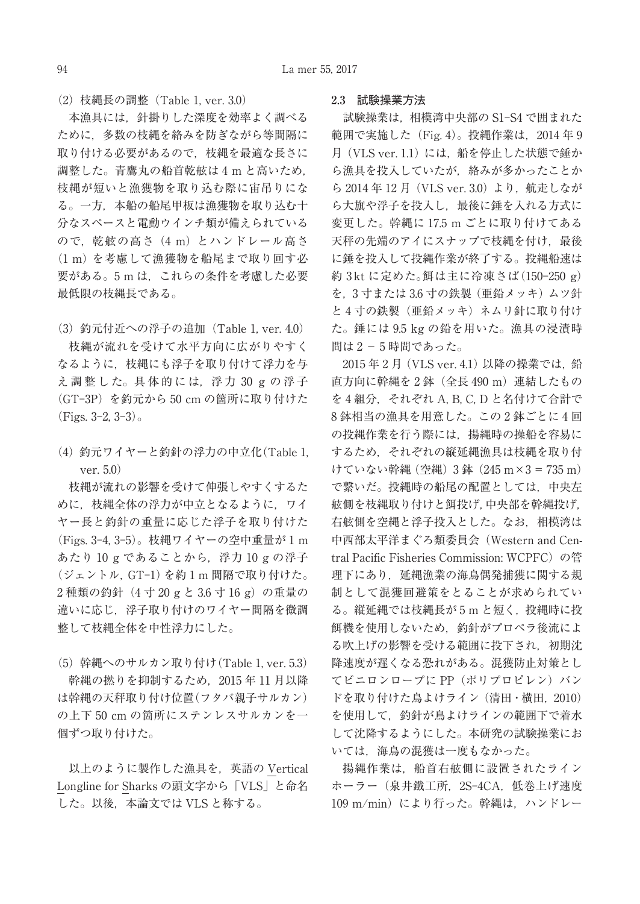(2)枝縄長の調整(Table 1, ver. 3.0)

本漁具には,針掛りした深度を効率よく調べる ために,多数の枝縄を絡みを防ぎながら等間隔に 取り付ける必要があるので,枝縄を最適な長さに 調整した。青鷹丸の船首乾舷は 4 m と高いため, 枝縄が短いと漁獲物を取り込む際に宙吊りにな る。一方,本船の船尾甲板は漁獲物を取り込む十 分なスペースと電動ウインチ類が備えられている ので. 乾舷の高さ (4 m) とハンドレール高さ (1 m) を考慮して漁獲物を船尾まで取り回す必 要がある。5mは、これらの条件を考慮した必要 最低限の枝縄長である。

(3)釣元付近への浮子の追加(Table 1, ver. 4.0) 枝縄が流れを受けて水平方向に広がりやすく なるように,枝縄にも浮子を取り付けて浮力を与 え調整した。具体的には、浮力 30 g の浮子 (GT-3P) を釣元から 50 cm の箇所に取り付けた  $(Figs. 3-2, 3-3)$ 。

(4)釣元ワイヤーと釣針の浮力の中立化(Table 1, ver. 5.0)

枝縄が流れの影響を受けて伸張しやすくするた めに、枝縄全体の浮力が中立となるように、ワイ ヤー長と釣針の重量に応じた浮子を取り付けた (Figs. 3-4, 3-5)。枝縄ワイヤーの空中重量が 1 m あたり 10 g であることから,浮力 10 g の浮子 (ジェントル, GT-1) を約1m 間隔で取り付けた。 2種類の釣針 (4 寸 20 g と 3.6 寸 16 g) の重量の 違いに応じ,浮子取り付けのワイヤー間隔を微調 整して枝縄全体を中性浮力にした。

(5)幹縄へのサルカン取り付け(Table 1, ver. 5.3) 幹縄の撚りを抑制するため,2015 年 11 月以降 は幹縄の天秤取り付け位置(フタバ親子サルカン) の上下 50 cm の箇所にステンレスサルカンを一 個ずつ取り付けた。

以上のように製作した漁具を,英語の Vertical Longline for Sharks の頭文字から「VLS」と命名 した。以後,本論文では VLS と称する。

#### **2.3** 試験操業方法

試験操業は. 相模湾中央部の S1-S4 で囲まれた 範囲で実施した (Fig. 4)。投縄作業は、2014年 9 月 (VLS ver. 1.1)には、船を停止した状態で錘か ら漁具を投入していたが,絡みが多かったことか ら 2014年12月 (VLS ver. 3.0) より, 航走しなが ら大旗や浮子を投入し,最後に錘を入れる方式に 変更した。幹縄に 17.5 m ごとに取り付けてある 天秤の先端のアイにスナップで枝縄を付け、最後 に錘を投入して投縄作業が終了する。投縄船速は 約 3kt に定めた。餌は主に冷凍さば(150-250 g) を,3 寸または 3.6 寸の鉄製(亜鉛メッキ)ムツ針 と4寸の鉄製(亜鉛メッキ)ネムリ針に取り付け た。錘には 9.5 kg の鉛を用いた。漁具の浸漬時 間は 2 − 5 時間であった。

2015年2月 (VLS ver. 4.1)以降の操業では、鉛 直方向に幹縄を 2 鉢(全長 490 m)連結したもの を 4 組分. それぞれ A, B, C, D と名付けて合計で 8 鉢相当の漁具を用意した。この 2 鉢ごとに 4 回 の投縄作業を行う際には,揚縄時の操船を容易に するため,それぞれの縦延縄漁具は枝縄を取り付 けていない幹縄 (空縄) 3 鉢 (245 m×3 = 735 m) で繋いだ。投縄時の船尾の配置としては,中央左 舷側を枝縄取り付けと餌投げ,中央部を幹縄投げ, 右舷側を空縄と浮子投入とした。なお,相模湾は 中西部太平洋まぐろ類委員会(Western and Central Pacific Fisheries Commission: WCPFC)の管 理下にあり,延縄漁業の海鳥偶発捕獲に関する規 制として混獲回避策をとることが求められてい る。縦延縄では枝縄長が 5 m と短く,投縄時に投 餌機を使用しないため,釣針がプロペラ後流によ る吹上げの影響を受ける範囲に投下され,初期沈 降速度が遅くなる恐れがある。混獲防止対策とし てビニロンロープに PP (ポリプロピレン) バン ドを取り付けた鳥よけライン(清田・横田, 2010) を使用して,釣針が鳥よけラインの範囲下で着水 して沈降するようにした。本研究の試験操業にお いては,海鳥の混獲は一度もなかった。

揚縄作業は,船首右舷側に設置されたライン ホーラー(泉井鐵工所, 2S-4CA, 低巻上げ速度 109 m/min) により行った。幹縄は、ハンドレー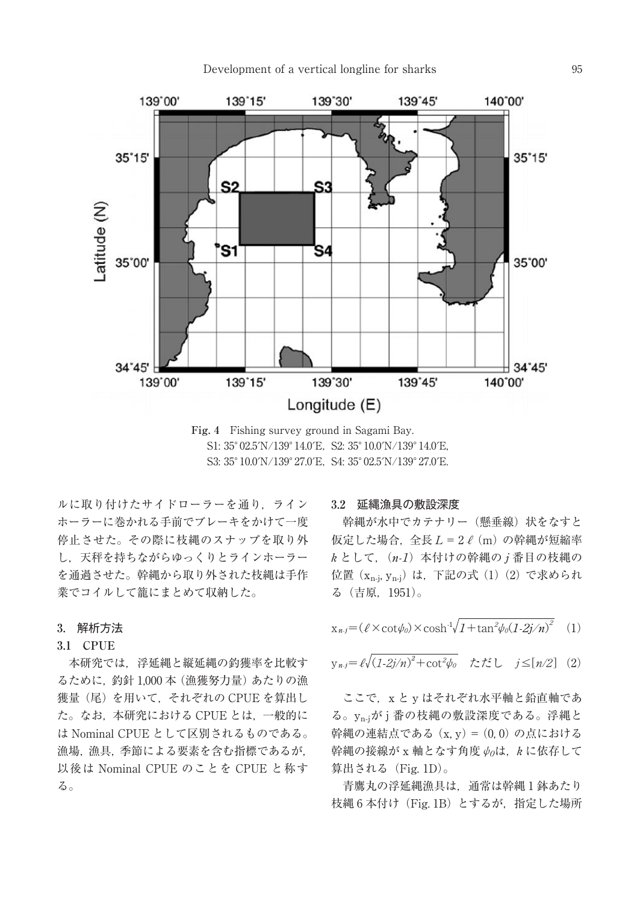## Development of a vertical longline for sharks 95



**Fig. 4** Fishing survey ground in Sagami Bay. S1: 35°02.5′N/139°14.0′E, S2: 35°10.0′N/139°14.0′E, S3: 35°10.0′N/139°27.0′E, S4: 35°02.5′N/139°27.0′E.

ルに取り付けたサイドローラーを通り,ライン ホーラーに巻かれる手前でブレーキをかけて一度 停止させた。その際に枝縄のスナップを取り外 し,天秤を持ちながらゆっくりとラインホーラー を通過させた。幹縄から取り外された枝縄は手作 業でコイルして籠にまとめて収納した。

## **3.** 解析方法

## **3.1 CPUE**

本研究では,浮延縄と縦延縄の釣獲率を比較す るために,釣針 1,000 本(漁獲努力量)あたりの漁 獲量(尾)を用いて,それぞれの CPUE を算出し た。なお,本研究における CPUE とは,一般的に は Nominal CPUE として区別されるものである。 漁場,漁具,季節による要素を含む指標であるが, 以後は Nominal CPUE のことを CPUE と称す る。

#### **3.2** 延縄漁具の敷設深度

幹縄が水中でカテナリー(懸垂線)状をなすと 仮定した場合. 全長 L = 2 ℓ (m) の幹縄が短縮率  $k \geq 0$  て,  $(n-1)$ 本付けの幹縄の j 番目の枝縄の 位置 (x<sub>n-j</sub>, y<sub>n-j</sub>) は,下記の式 (1) (2) で求められ る(吉原,1951)。

$$
x_{n,j} = (\ell \times \cot \phi_0) \times \cosh^{-1} \sqrt{1 + \tan^2 \phi_0 (1 - 2j/n)^2} \tag{1}
$$

$$
y_{n,j} = \ell \sqrt{(1-2j/n)^2 + \cot^2 \psi_0} \quad \text{with} \quad j \leq [n/2] \quad (2)
$$

ここで, x と y はそれぞれ水平軸と鉛直軸であ る。yn-jが j 番の枝縄の敷設深度である。浮縄と 幹縄の連結点である $(x, y) = (0, 0)$ の点における 幹縄の接線が x 軸となす角度 ψoは, k に依存して 算出される(Fig. 1D)。

青鷹丸の浮延縄漁具は、通常は幹縄1鉢あたり 枝縄 6 本付け(Fig. 1B)とするが,指定した場所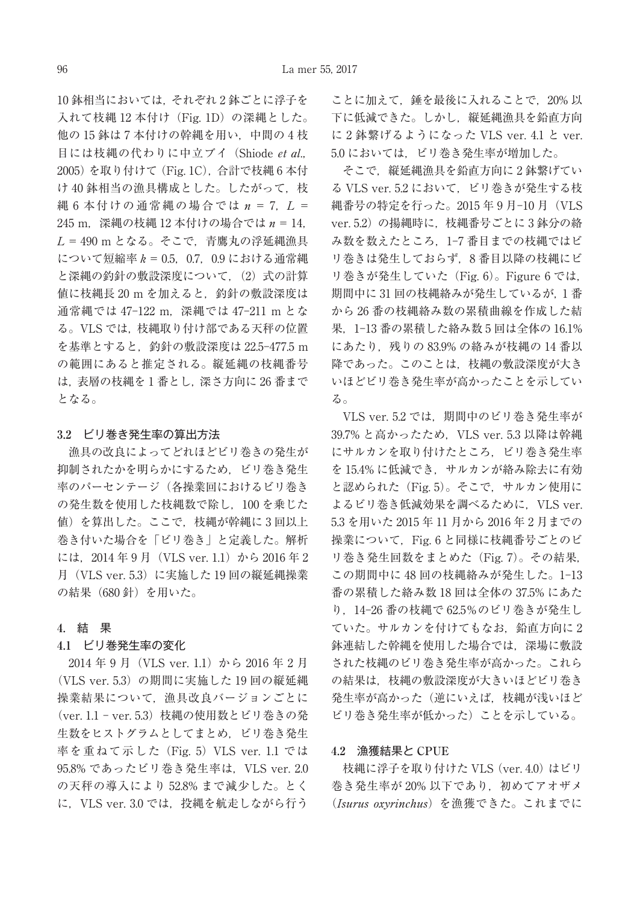10 鉢相当においては,それぞれ 2 鉢ごとに浮子を 入れて枝縄 12 本付け (Fig. 1D) の深縄とした。 他の 15 鉢は 7 本付けの幹縄を用い,中間の 4 枝 目には枝縄の代わりに中立ブイ(Shiode et al., 2005)を取り付けて(Fig. 1C),合計で枝縄 6 本付 け40鉢相当の漁具構成とした。したがって、枝 縄 6 本付けの通常縄の場合では  $n = 7$ ,  $L =$ 245 m, 深縄の枝縄 12 本付けの場合では  $n = 14$ ,  $L = 490$  m となる。そこで、青鷹丸の浮延縄漁具 について短縮率 k = 0.5,0.7,0.9 における通常縄 と深縄の釣針の敷設深度について. (2) 式の計算 値に枝縄長 20 m を加えると,釣針の敷設深度は 通常縄では 47-122 m, 深縄では 47-211 m とな る。VLS では,枝縄取り付け部である天秤の位置 を基準とすると、釣針の敷設深度は 22.5-477.5 m の範囲にあると推定される。縦延縄の枝縄番号 は,表層の枝縄を 1 番とし,深さ方向に 26 番まで となる。

## **3.2** ビリ巻き発生率の算出方法

漁具の改良によってどれほどビリ巻きの発生が 抑制されたかを明らかにするため,ビリ巻き発生 率のパーセンテージ(各操業回におけるビリ巻き の発生数を使用した枝縄数で除し,100 を乗じた 値)を算出した。ここで,枝縄が幹縄に 3 回以上 巻き付いた場合を「ビリ巻き」と定義した。解析 には、2014年9月 (VLS ver. 1.1) から 2016年2 月(VLS ver. 5.3)に実施した 19 回の縦延縄操業 の結果 (680針) を用いた。

## **4.** 結 果

#### **4.1** ビリ巻発生率の変化

2014 年 9 月(VLS ver. 1.1)から 2016 年 2 月 (VLS ver. 5.3) の期間に実施した 19 回の縦延縄 操業結果について,漁具改良バージョンごとに (ver. 1.1 - ver. 5.3) 枝縄の使用数とビリ巻きの発 生数をヒストグラムとしてまとめ,ビリ巻き発生 率を重ねて示した (Fig. 5) VLS ver. 1.1 では 95.8% であったビリ巻き発生率は. VLS ver. 2.0 の天秤の導入により 52.8% まで減少した。とく に,VLS ver. 3.0 では,投縄を航走しながら行う

ことに加えて,錘を最後に入れることで,20% 以 下に低減できた。しかし,縦延縄漁具を鉛直方向 に 2 鉢繋げるようになった VLS ver. 4.1 と ver. 5.0 においては,ビリ巻き発生率が増加した。

そこで、縦延縄漁具を鉛直方向に2鉢繋げてい る VLS ver. 5.2 において,ビリ巻きが発生する枝 縄番号の特定を行った。2015年9月-10月 (VLS ver. 5.2) の揚縄時に、枝縄番号ごとに3鉢分の絡 み数を数えたところ、1-7 番目までの枝縄ではビ リ巻きは発生しておらず,8 番目以降の枝縄にビ リ巻きが発生していた(Fig. 6)。Figure 6 では, 期間中に 31 回の枝縄絡みが発生しているが,1 番 から 26 番の枝縄絡み数の累積曲線を作成した結 果. 1-13 番の累積した絡み数 5 回は全体の 16.1% にあたり,残りの 83.9% の絡みが枝縄の 14 番以 降であった。このことは,枝縄の敷設深度が大き いほどビリ巻き発生率が高かったことを示してい る。

VLS ver. 5.2 では、期間中のビリ巻き発生率が 39.7% と高かったため, VLS ver. 5.3 以降は幹縄 にサルカンを取り付けたところ,ビリ巻き発生率 を 15.4% に低減でき,サルカンが絡み除去に有効 と認められた(Fig. 5)。そこで,サルカン使用に よるビリ巻き低減効果を調べるために, VLS ver. 5.3 を用いた 2015 年 11 月から 2016 年 2 月までの 操業について、Fig. 6 と同様に枝縄番号ごとのビ リ巻き発生回数をまとめた(Fig. 7)。その結果, この期間中に48回の枝縄絡みが発生した。1-13 番の累積した絡み数 18 回は全体の 37.5% にあた り,14Ȃ26 番の枝縄で 62.5%のビリ巻きが発生し ていた。サルカンを付けてもなお、鉛直方向に2 鉢連結した幹縄を使用した場合では,深場に敷設 された枝縄のビリ巻き発生率が高かった。これら の結果は,枝縄の敷設深度が大きいほどビリ巻き 発生率が高かった(逆にいえば、枝縄が浅いほど ビリ巻き発生率が低かった)ことを示している。

#### **4.2** 漁獲結果と **CPUE**

枝縄に浮子を取り付けた VLS (ver. 4.0) はビリ 巻き発生率が 20% 以下であり、初めてアオザメ (Isurus oxyrinchus)を漁獲できた。これまでに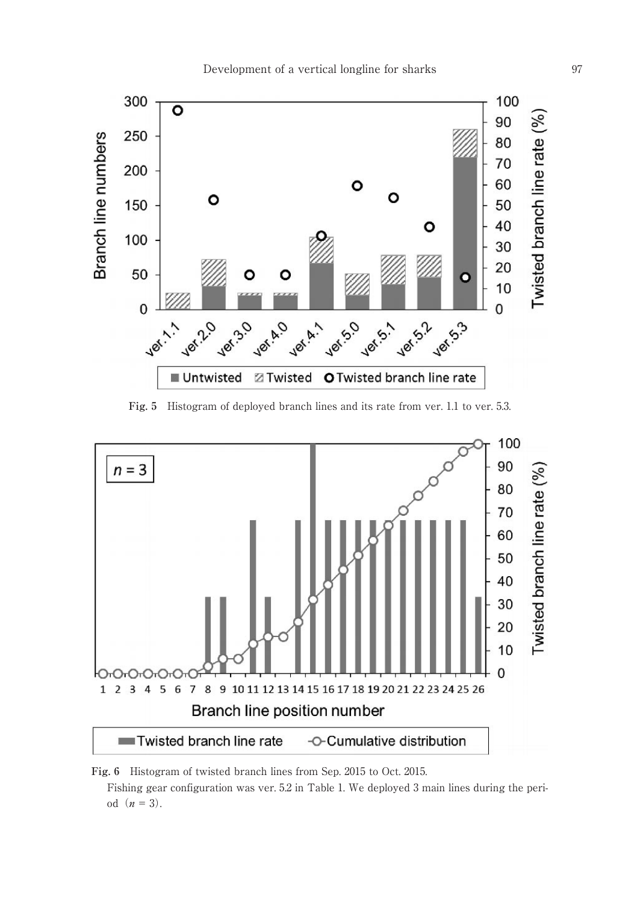

**Fig. 5** Histogram of deployed branch lines and its rate from ver. 1.1 to ver. 5.3.



**Fig. 6** Histogram of twisted branch lines from Sep. 2015 to Oct. 2015.

Fishing gear configuration was ver. 5.2 in Table 1. We deployed 3 main lines during the period  $(n = 3)$ .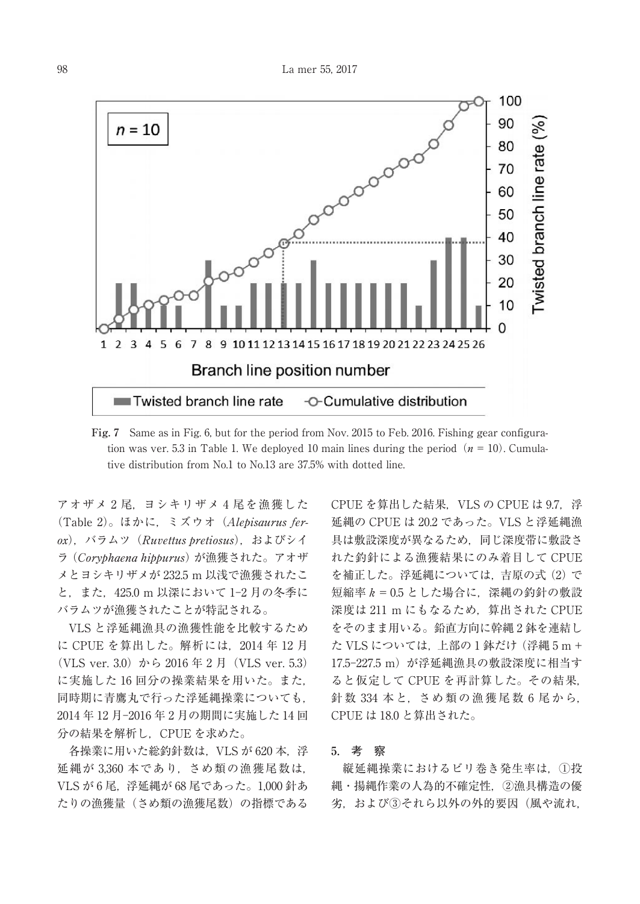

**Fig. 7** Same as in Fig. 6, but for the period from Nov. 2015 to Feb. 2016. Fishing gear configuration was ver. 5.3 in Table 1. We deployed 10 main lines during the period ( $n = 10$ ). Cumulative distribution from No.1 to No.13 are 37.5% with dotted line.

アオザメ 2 尾,ヨシキリザメ 4 尾を漁獲した (Table 2)。ほかに,ミズウオ(Alepisaurus ferox),バラムツ(Ruvettus pretiosus),およびシイ ラ(Coryphaena hippurus)が漁獲された。アオザ メとヨシキリザメが 232.5 m 以浅で漁獲されたこ と、また、425.0 m 以深において 1-2 月の冬季に バラムツが漁獲されたことが特記される。

VLS と浮延縄漁具の漁獲性能を比較するため に CPUE を算出した。解析には,2014 年 12 月 (VLS ver. 3.0) から 2016 年 2 月 (VLS ver. 5.3) に実施した 16 回分の操業結果を用いた。また, 同時期に青鷹丸で行った浮延縄操業についても, 2014年12月-2016年2月の期間に実施した14回 分の結果を解析し,CPUE を求めた。

各操業に用いた総釣針数は, VLS が 620 本, 浮 延縄が 3,360 本であり,さめ類の漁獲尾数は, VLS が 6 尾,浮延縄が 68 尾であった。1,000 針あ たりの漁獲量(さめ類の漁獲尾数)の指標である

CPUE を算出した結果,VLS の CPUE は 9.7,浮 延縄の CPUE は 20.2 であった。VLS と浮延縄漁 具は敷設深度が異なるため,同じ深度帯に敷設さ れた釣針による漁獲結果にのみ着目して CPUE を補正した。浮延縄については、吉原の式(2)で 短縮率 k = 0.5 とした場合に、深縄の釣針の敷設 深度は 211 m にもなるため. 算出された CPUE をそのまま用いる。鉛直方向に幹縄 2 鉢を連結し た VLS については,上部の 1 鉢だけ(浮縄 5 m + 17.5-227.5 m) が浮延縄漁具の敷設深度に相当す ると仮定して CPUE を再計算した。その結果, 針数 334 本と,さめ類の漁獲尾数 6 尾から, CPUE は 18.0 と算出された。

## **5.** 考 察

縦延縄操業におけるビリ巻き発生率は,①投 縄・揚縄作業の人為的不確定性,②漁具構造の優 劣. および3それら以外の外的要因(風や流れ,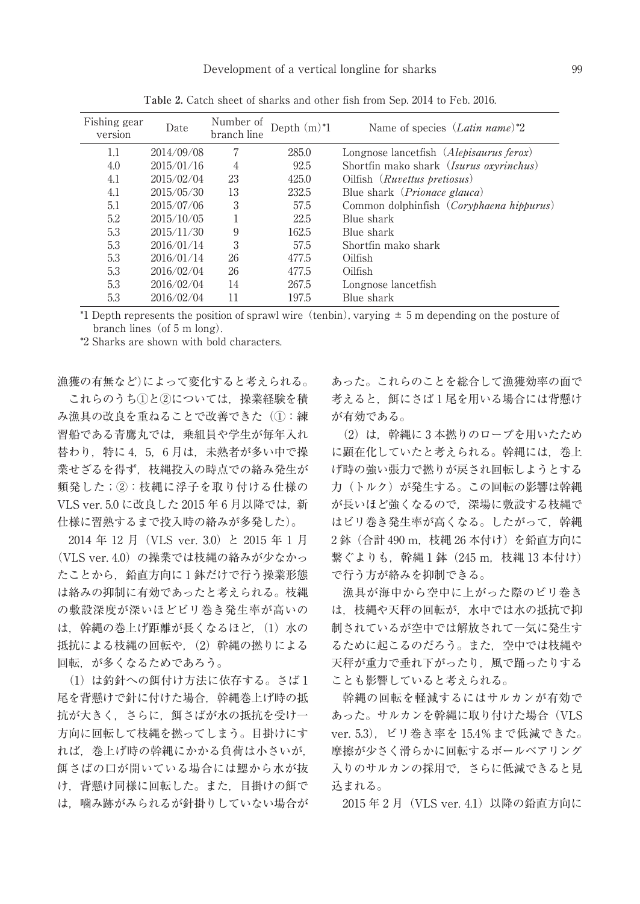| Fishing gear<br>version | Date       | Number of<br>branch line | Depth $(m)^*1$ | Name of species (Latin name)*2                    |
|-------------------------|------------|--------------------------|----------------|---------------------------------------------------|
| $1.1\,$                 | 2014/09/08 | 7                        | 285.0          | Longnose lancetfish (Alepisaurus ferox)           |
| 4.0                     | 2015/01/16 | 4                        | 92.5           | Shortfin mako shark (Isurus oxyrinchus)           |
| 4.1                     | 2015/02/04 | 23                       | 425.0          | Oilfish (Ruvettus pretiosus)                      |
| 4.1                     | 2015/05/30 | 13                       | 232.5          | Blue shark ( <i>Prionace glauca</i> )             |
| 5.1                     | 2015/07/06 | 3                        | 57.5           | Common dolphinfish ( <i>Coryphaena hippurus</i> ) |
| 5.2                     | 2015/10/05 |                          | 22.5           | Blue shark                                        |
| 5.3                     | 2015/11/30 | 9                        | 162.5          | Blue shark                                        |
| 5.3                     | 2016/01/14 | 3                        | 57.5           | Shortfin mako shark                               |
| 5.3                     | 2016/01/14 | 26                       | 477.5          | Oilfish                                           |
| 5.3                     | 2016/02/04 | 26                       | 477.5          | Oilfish                                           |
| 5.3                     | 2016/02/04 | 14                       | 267.5          | Longnose lancetfish                               |
| 5.3                     | 2016/02/04 | 11                       | 197.5          | Blue shark                                        |

**Table 2.** Catch sheet of sharks and other fish from Sep. 2014 to Feb. 2016.

\*1 Depth represents the position of sprawl wire (tenbin), varying  $\pm$  5 m depending on the posture of branch lines (of  $5 \text{ m}$  long).

\*2 Sharks are shown with bold characters.

漁獲の有無など)によって変化すると考えられる。 これらのうち(1)と②については、操業経験を積 み漁具の改良を重ねることで改善できた(①:練 習船である青鷹丸では,乗組員や学生が毎年入れ 替わり,特に 4,5,6 月は,未熟者が多い中で操 業せざるを得ず,枝縄投入の時点での絡み発生が 頻発した;②:枝縄に浮子を取り付ける仕様の VLS ver. 5.0 に改良した 2015 年 6 月以降では、新 仕様に習熟するまで投入時の絡みが多発した)。

2014 年 12 月(VLS ver. 3.0)と 2015 年 1 月 (VLS ver. 4.0) の操業では枝縄の絡みが少なかっ たことから、鉛直方向に1鉢だけで行う操業形態 は絡みの抑制に有効であったと考えられる。枝縄 の敷設深度が深いほどビリ巻き発生率が高いの は、幹縄の巻上げ距離が長くなるほど, (1) 水の 抵抗による枝縄の回転や, (2) 幹縄の撚りによる 回転,が多くなるためであろう。

(1) は釣針への餌付け方法に依存する。さば1 尾を背懸けで針に付けた場合,幹縄巻上げ時の抵 抗が大きく,さらに,餌さばが水の抵抗を受け一 方向に回転して枝縄を撚ってしまう。目掛けにす れば,巻上げ時の幹縄にかかる負荷は小さいが, 餌さばの口が開いている場合には鰓から水が抜 け,背懸け同様に回転した。また,目掛けの餌で は,噛み跡がみられるが針掛りしていない場合が

あった。これらのことを総合して漁獲効率の面で 考えると、餌にさば1尾を用いる場合には背懸け が有効である。

(2)は,幹縄に 3 本撚りのロープを用いたため に顕在化していたと考えられる。幹縄には、巻上 げ時の強い張力で撚りが戻され回転しようとする 力(トルク)が発生する。この回転の影響は幹縄 が長いほど強くなるので,深場に敷設する枝縄で はビリ巻き発生率が高くなる。したがって,幹縄 2 鉢 (合計 490 m, 枝縄 26 本付け)を鉛直方向に 繋ぐよりも, 幹縄1鉢 (245 m, 枝縄 13 本付け) で行う方が絡みを抑制できる。

漁具が海中から空中に上がった際のビリ巻き は,枝縄や天秤の回転が,水中では水の抵抗で抑 制されているが空中では解放されて一気に発生す るために起こるのだろう。また,空中では枝縄や 天秤が重力で垂れ下がったり,風で踊ったりする ことも影響していると考えられる。

幹縄の回転を軽減するにはサルカンが有効で あった。サルカンを幹縄に取り付けた場合(VLS ver. 5.3),ビリ巻き率を 15.4%まで低減できた。 摩擦が少さく滑らかに回転するボールベアリング 入りのサルカンの採用で,さらに低減できると見 込まれる。

2015年2月 (VLS ver. 4.1)以降の鉛直方向に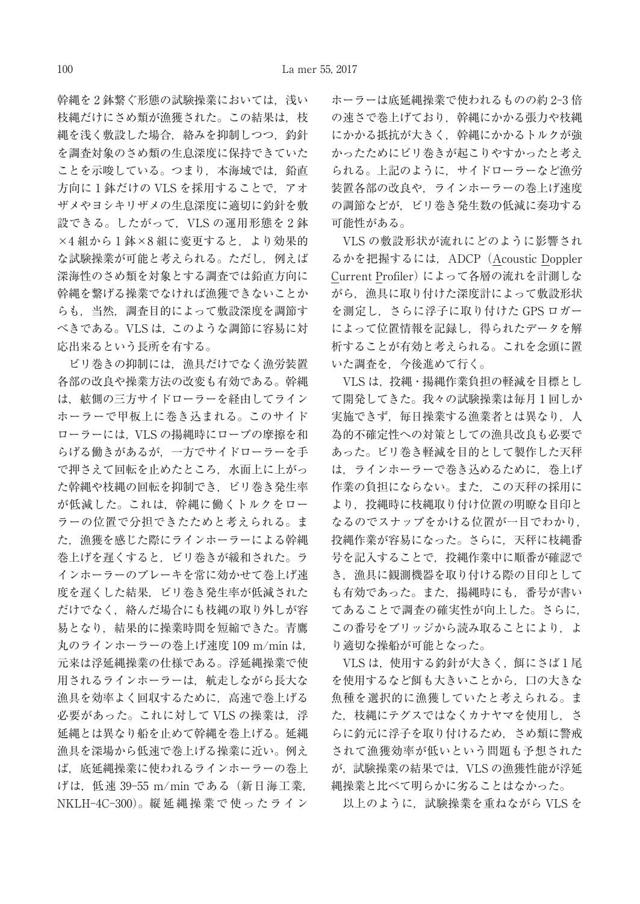幹縄を2鉢繋ぐ形態の試験操業においては、浅い 枝縄だけにさめ類が漁獲された。この結果は、枝 縄を浅く敷設した場合,絡みを抑制しつつ,釣針 を調査対象のさめ類の生息深度に保持できていた ことを示唆している。つまり、本海域では、鉛直 方向に 1 鉢だけの VLS を採用することで、アオ ザメやヨシキリザメの生息深度に適切に釣針を敷 設できる。したがって、VLS の運用形態を2鉢 ×4組から1鉢×8組に変更すると、より効果的 な試験操業が可能と考えられる。ただし,例えば 深海性のさめ類を対象とする調査では鉛直方向に 幹縄を繋げる操業でなければ漁獲できないことか らも,当然,調査目的によって敷設深度を調節す べきである。VLS は,このような調節に容易に対 応出来るという長所を有する。

ビリ巻きの抑制には,漁具だけでなく漁労装置 各部の改良や操業方法の改変も有効である。幹縄 は,舷側の三方サイドローラーを経由してライン ホーラーで甲板上に巻き込まれる。このサイド ローラーには,VLS の揚縄時にロープの摩擦を和 らげる働きがあるが,一方でサイドローラーを手 で押さえて回転を止めたところ,水面上に上がっ た幹縄や枝縄の回転を抑制でき,ビリ巻き発生率 が低減した。これは,幹縄に働くトルクをロー ラーの位置で分担できたためと考えられる。ま た,漁獲を感じた際にラインホーラーによる幹縄 巻上げを遅くすると,ビリ巻きが緩和された。ラ インホーラーのブレーキを常に効かせて巻上げ速 度を遅くした結果、ビリ巻き発生率が低減された だけでなく,絡んだ場合にも枝縄の取り外しが容 易となり,結果的に操業時間を短縮できた。青鷹 丸のラインホーラーの巻上げ速度 109 m/min は, 元来は浮延縄操業の仕様である。浮延縄操業で使 用されるラインホーラーは,航走しながら長大な 漁具を効率よく回収するために,高速で巻上げる 必要があった。これに対して VLS の操業は、浮 延縄とは異なり船を止めて幹縄を巻上げる。延縄 漁具を深場から低速で巻上げる操業に近い。例え ば,底延縄操業に使われるラインホーラーの巻上 げは. 低速 39-55 m/min である (新日海工業, NKLH-4C-300)。縦 延 縄 操 業 で 使 っ た ラ イ ン

ホーラーは底延縄操業で使われるものの約 2-3倍 の速さで巻上げており、幹縄にかかる張力や枝縄 にかかる抵抗が大きく,幹縄にかかるトルクが強 かったためにビリ巻きが起こりやすかったと考え られる。上記のように,サイドローラーなど漁労 装置各部の改良や,ラインホーラーの巻上げ速度 の調節などが,ビリ巻き発生数の低減に奏功する 可能性がある。

VLS の敷設形状が流れにどのように影響され るかを把握するには、ADCP (Acoustic Doppler Current Profiler)によって各層の流れを計測しな がら,漁具に取り付けた深度計によって敷設形状 を測定し,さらに浮子に取り付けた GPS ロガー によって位置情報を記録し,得られたデータを解 析することが有効と考えられる。これを念頭に置 いた調査を,今後進めて行く。

VLS は,投縄・揚縄作業負担の軽減を目標とし て開発してきた。我々の試験操業は毎月 1 回しか 実施できず、毎日操業する漁業者とは異なり、人 為的不確定性への対策としての漁具改良も必要で あった。ビリ巻き軽減を目的として製作した天秤 は,ラインホーラーで巻き込めるために,巻上げ 作業の負担にならない。また,この天秤の採用に より、投縄時に枝縄取り付け位置の明瞭な目印と なるのでスナップをかける位置が一目でわかり, 投縄作業が容易になった。さらに,天秤に枝縄番 号を記入することで,投縄作業中に順番が確認で き、漁具に観測機器を取り付ける際の目印として も有効であった。また、 揚縄時にも、番号が書い てあることで調査の確実性が向上した。さらに, この番号をブリッジから読み取ることにより、よ り適切な操船が可能となった。

VLS は、使用する釣針が大きく、餌にさば1尾 を使用するなど餌も大きいことから,口の大きな 魚種を選択的に漁獲していたと考えられる。ま た、枝縄にテグスではなくカナヤマを使用し、さ らに釣元に浮子を取り付けるため,さめ類に警戒 されて漁獲効率が低いという問題も予想された が,試験操業の結果では,VLS の漁獲性能が浮延 縄操業と比べて明らかに劣ることはなかった。

以上のように、試験操業を重ねながら VLS を